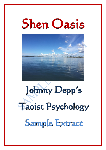# Shen Oasis



# Johnny Depp's Taoist Psychology Sample Extract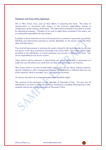#### Disclaimer and Terms of Use Agreement.

We at Shen Oasis, have used our best efforts in preparing this book. We make no representation or warranties with respect to the accuracy, applicability, fitness or completeness of the contents of this book. The information contained in this book is strictly for educational purposes. Therefore if you wish to apply ideas contained in this report, you are taking full responsibility for your actions.

Examples in these materials are not to be interpreted as a promise or guarantee of anything. Self-help and improvement potential is entirely dependent on the person using this book, ideas and information.

Your level of improvement in attaining the results claimed in this book depends on the time you devote to the ideas mentioned, knowledge and various skills. Since these factors differ according to the individuals, we cannot guarantee your success or improvement level. Nor are we responsible for any of your actions.

Many factors will be important in determining your actual results and no guarantees are made that you will achieve any result from our ideas and techniques in our material.

Shen Oasis shall in no event be held liable to any party for any direct, indirect, punitive, special, incidental or other consequential damages arising directly or indirectly from any use of this material, which is provided "as is", and without warranties.

As always, the advice of a competent professional should be sought.

The contents of this document are the copyright of Alexandra Claire. No part may be reproduced in any form or means by electronic, mechanical, recording, photocopying or other methods without the written permission of Alexandra Claire.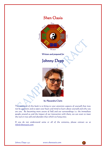



Written and prepared for

## Johnny Depp



by Alexandra Claire

The intention of this book is to bring to your attention aspects of yourself that may not be apparent and to open your heart and mind to learn about yourself and why you are you. By becoming more aware of Self and our surroundings i.e. the immediate people around us and the impact of our interaction with them, we can start to meet the real or true self and abandon that which we hang onto.

If you do not understand some or all of the contents, please contact us at [info@shenoasis.com](mailto:info@shenoasis.com)

Johnny Depp 1:4:2 www.shenoasis.com

 $\bullet$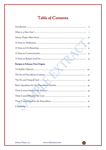# Table of Contents

|                                                                                                                | 6              |
|----------------------------------------------------------------------------------------------------------------|----------------|
|                                                                                                                | $\overline{7}$ |
|                                                                                                                | IO             |
|                                                                                                                | 29             |
|                                                                                                                | 3 <sub>I</sub> |
|                                                                                                                | 33             |
|                                                                                                                | 35             |
| Recipes to Enhance Your Organs                                                                                 |                |
| 40                                                                                                             |                |
|                                                                                                                |                |
| The Yin and Yang of Food                                                                                       | 42             |
|                                                                                                                | 43             |
|                                                                                                                | 45             |
|                                                                                                                | 51             |
|                                                                                                                | 57             |
| Conclusion Manual Manual Conclusion Manual Manual Manual Manual Manual Manual Manual Manual Manual Manual Manu | 65             |

www.shenoasis.com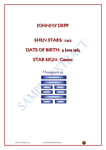# JOHNNY DEPP

## **SHEN STARS: 1:4:2**

## DATE OF BIRTH: 9 June 1963

# STAR SIGN: Gemini



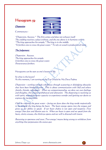## Hexagram 59

#### Dispersion

Commentary:-



"Dispersion, Success." The firm comes and does not exhaust itself. The yielding receives a place without, and the one above is in harmony with it. "The king approaches his temple," The king is in the middle. "It furthers one to cross the great water." To rely on wood is productive of merit.

#### The Judgement:

Dispersion. Success. The king approaches his temple. It furthers one to cross the great water. Perseverance furthers.

Hexagrams can be seen as one's lesson in life.

So what is the lesson?

At this moment, I am turning to the Tao Oracle by Ma Deva Padma

Dispersion – working towards wholeness through scattering or dislodging obstacles that have been hindering unity. This is about communication with Self and others (family, friends, colleagues). When we compartmentalise, we deny our own feelings and thoughts, this creates withdrawal and alienation. The dispersing is reuniting us with spirit, reawakening our capacity to experience wonder and igniting our desire to express the inexpressible.

Only by crossing the great water – facing our fears does the king reside majestically in his temple; the king being the heart. The heart energy opens into the tongue and gives us our ability to speak. If our heart chakra is not open and receptive (Two energy) then fear and illusion sets in. When our heart is open and we speak from the heart, clarity ensues, the third eye opens and our will is directed with intent.

Returning to openness and trust (Two energy) means being strong to withdraw from anything that perpetuates the status quo.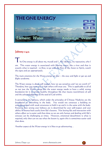

### $\int$ ohnny 1:4:2

he One energy is all about me, myself and I. My identity, my reputation, who I am. This water energy is associated with flowing water, like a river and that is exactly what is required – to flow, to go with the flow of life, listen to Spirit, watch the signs and act appropriately.

The main emotions for the Water energy are fear – the stay and fight or get up and flight syndrome.

The Water energy is about self respect, how we see ourselves and 'are we worth it?' Therefore, how you treat you, is how others will treat you. This is applicable to all of us not just the Water energy but the water energy needs to have a solid, strong foundation for it to remain healthy throughout life that means nourishment of self and the acknowledgement of the seed of God within.

It pertains to the kidneys, which under the principles of Chinese Medicine are the foundation to everything in the body. You would not construct a building on unstable ground with weak structures to hold it up and it is the same with the body. Knowing how strong your kidneys are is determined by your self-respect and your ability to bounce back easily from life's lessons. Not letting life and interaction with others affect us is easier said than done as we are only human and dealing with life's stresses can be challenging at times. However, emotional detachment is what is required, only then can we see what the lesson is, again this is sometimes easier said than done.

Another aspect of the Water energy is it likes to go adventuring…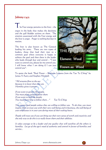### Johnny 1:4:2

 $\frac{1}{2}$  he Four energy pertains to the liver – the organ in the body that makes the decisions and the gall bladder actions on them. The emotion associated with the Four energy and the liver is anger. Anger is nothing but fear in motion.

The liver is also known as The General leading his army. There are two types of leaders, those that lead their men to a common goal where everyone is happy to achieve the goal and then there is the leader who leads through fear and control – "I just want to control you, please let me control you. I will know what I am doing if I can just control you".



To quote the book "Real Power – Business Lessons from the Tao Te Ching" by James A Autry and Stephen Mitchell:

"All streams flow to the sea because it is lower than they are. Humility gives it power.

If you want to govern the people, You must place yourself below them. If you want to lead the people, You must learn how to follow them…" Tao Te Ching

You cannot lead people unless they are willing to follow you. To do that, you must inspire them to trust you with their very well-being and in business, the well-being of your employees is in your care during most of their waking hours.

People will trust you if you can bring out their own sense of worth and creativity and the only way to do this is to really know them and their abilities.

It takes courage to be a leader and one quality that will outshine all the others is humility. Let go of the ego's need of authority and control in favour of humility and service...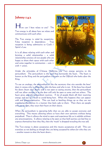## Johnny 1:4:2

**H**ow can I best relate to you? The Two energy is all about how we relate and communicate with each other.

The Two energy is ruled by receptivity. False reception is dependency. True reception is being submissive to God's / Spirit's Law.

It is all about relating with each other and forming a solid relationship – a solid relationship consists of two people who are happy to share their space with each other and come together in communion – com = with  $+$  union.



Under the principles of Chinese Medicine, the Two energy pertains to the pericardium. The pericardium is the sack that surrounds the heart. The heart is known as the King and the pericardium is known as the Official who looks after the King.

To use an analogy, the pericardium is like the secretary that sits outside the boss' door; it vetoes who is allowed to visit the boss and who is not. If the boss has closed his doors (heart shut down) and is not open to seeing anyone, then the pericardium will not allow anyone in or the door will only be open to some and not others. The heart gives and the pericardium receives. A lot of people block off their receiving energy and put up a wall to avoid being hurt. When this happens they can appear cold and uncommunicative. This can lead to bottling things up as they are not expressing themselves in a manner that feels safe to them. Then there are people who are so open, they wear their heart on their sleeve.

When the pericardium is operating fully then we are able to accept everyone and everything. This means allowing others to have their own opinions without being prejudiced. Thus it allows the mind to open and experience life as it unfolds without any preconceptions. It allows relating to be open so that both parties can feel free to express themselves how they like, then the 'mask' is dropped revealing the true self.

The Two energy is about acceptance and this means acceptance of self. This can translate as not feeling as though they are being accepted by others for who they are – another reason to shut the heart down...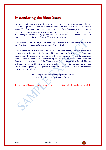## Interrelating the Shen Stars

All aspects of the Shen Stars impact on each other. To give you an example, the One at the front has a strong connection with God and knows all the answers it seeks. The One energy will seek outside of itself and the Two energy will scream for acceptance from others, both neither serving each other or themselves. Thus the Four energy will think that by getting acceptance from others it is doing God's Will and connecting to the great Source. This is total delusion.

The Four in the middle says 'I am rebelling to authority and will make up my own mind', this rebelliousness brings out a stubborn attitude...

The antidote for rebelliousness is creativity. The mind needs to be challenged on a constant basis like Sherlock Holmes looking for clues to solve the crime. 'Don't ask me anything I already know; ask me something I don't know'. Then the adventure starts – the One energy loves adventuring, the Four energy that connects with the liver will make decisions and the Three energy that connects with the gall bladder will action on them. Then the Two energy will deliver its findings / knowledge to the group – family, friends, colleagues or in other words the clan. This is how it reaches out to belong to others.

> 'I need to feel safe and accepted for who I am for this is a fundamental expression of myself.'

Please note, this document is a sample extract only. Not all information is revealed.